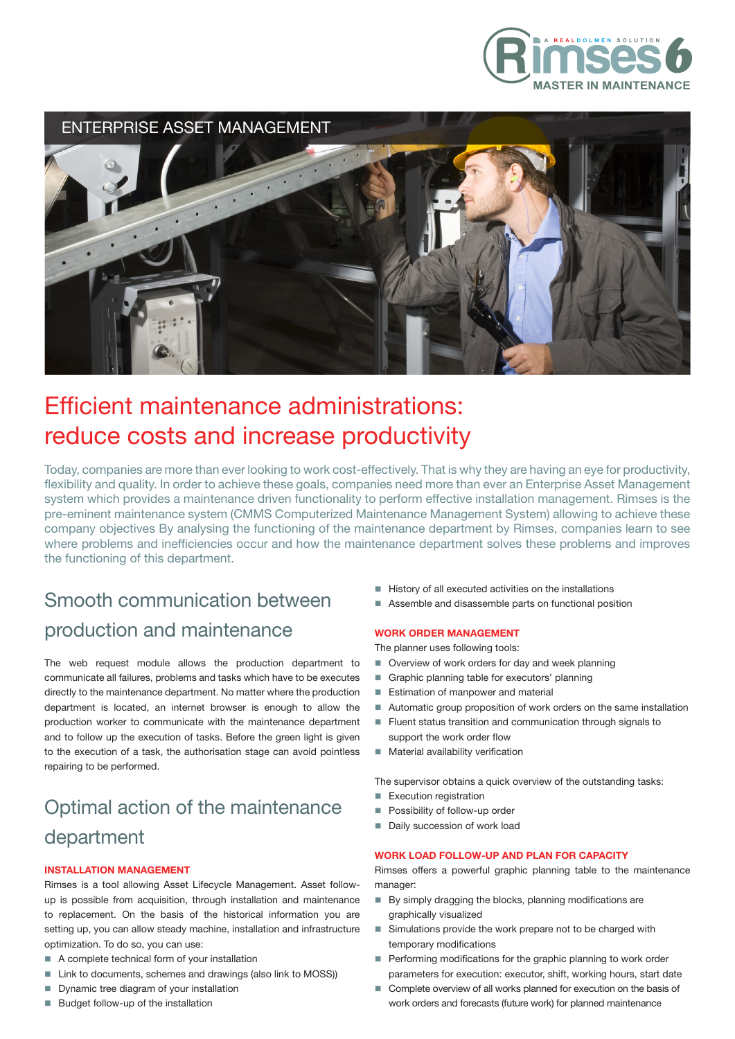



# Efficient maintenance administrations: reduce costs and increase productivity

Today, companies are more than ever looking to work cost-effectively. That is why they are having an eye for productivity, flexibility and quality. In order to achieve these goals, companies need more than ever an Enterprise Asset Management system which provides a maintenance driven functionality to perform effective installation management. Rimses is the pre-eminent maintenance system (CMMS Computerized Maintenance Management System) allowing to achieve these company objectives By analysing the functioning of the maintenance department by Rimses, companies learn to see where problems and inefficiencies occur and how the maintenance department solves these problems and improves the functioning of this department.

## Smooth communication between production and maintenance

The web request module allows the production department to communicate all failures, problems and tasks which have to be executes directly to the maintenance department. No matter where the production department is located, an internet browser is enough to allow the production worker to communicate with the maintenance department and to follow up the execution of tasks. Before the green light is given to the execution of a task, the authorisation stage can avoid pointless repairing to be performed.

## Optimal action of the maintenance department

### INSTALLATION MANAGEMENT

Rimses is a tool allowing Asset Lifecycle Management. Asset followup is possible from acquisition, through installation and maintenance to replacement. On the basis of the historical information you are setting up, you can allow steady machine, installation and infrastructure optimization. To do so, you can use:

- $\blacksquare$  A complete technical form of your installation
- Link to documents, schemes and drawings (also link to MOSS))
- **Dynamic tree diagram of your installation**
- Budget follow-up of the installation
- � History of all executed activities on the installations
- � Assemble and disassemble parts on functional position

## WORK ORDER MANAGEMENT

The planner uses following tools:

- Overview of work orders for day and week planning
- Graphic planning table for executors' planning
- Estimation of manpower and material
- Automatic group proposition of work orders on the same installation
- Fluent status transition and communication through signals to support the work order flow
- Material availability verification

The supervisor obtains a quick overview of the outstanding tasks:

- **Execution registration**
- Possibility of follow-up order
- Daily succession of work load

### WORK LOAD FOLLOW-UP AND PLAN FOR CAPACITY

Rimses offers a powerful graphic planning table to the maintenance manager:

- By simply dragging the blocks, planning modifications are graphically visualized
- Simulations provide the work prepare not to be charged with temporary modifications
- Performing modifications for the graphic planning to work order parameters for execution: executor, shift, working hours, start date
- Complete overview of all works planned for execution on the basis of work orders and forecasts (future work) for planned maintenance